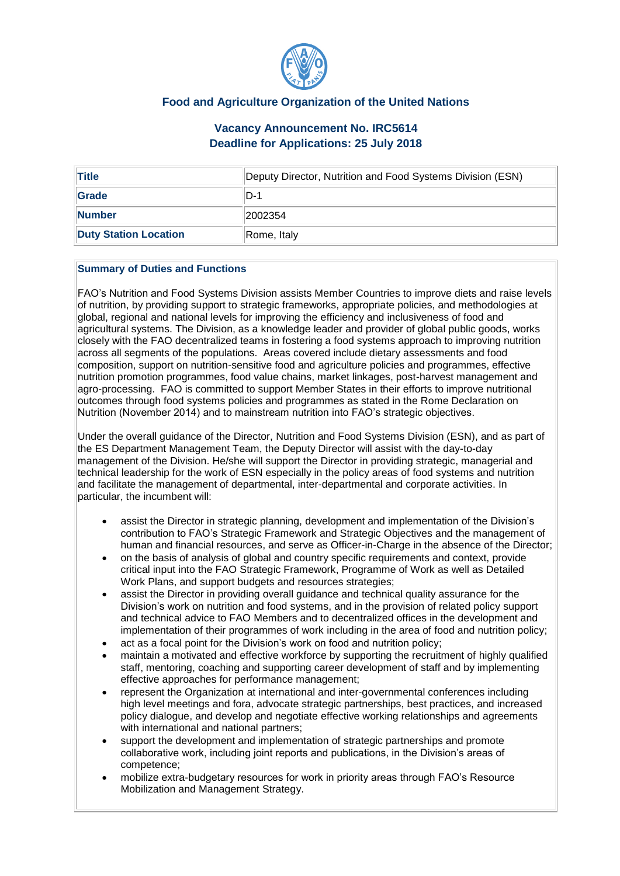

## **Food and Agriculture Organization of the United Nations**

# **Vacancy Announcement No. IRC5614 Deadline for Applications: 25 July 2018**

| <b>Title</b>                 | Deputy Director, Nutrition and Food Systems Division (ESN) |
|------------------------------|------------------------------------------------------------|
| Grade                        | ID-1                                                       |
| <b>Number</b>                | 2002354                                                    |
| <b>Duty Station Location</b> | Rome, Italy                                                |

### **Summary of Duties and Functions**

FAO's Nutrition and Food Systems Division assists Member Countries to improve diets and raise levels of nutrition, by providing support to strategic frameworks, appropriate policies, and methodologies at global, regional and national levels for improving the efficiency and inclusiveness of food and agricultural systems. The Division, as a knowledge leader and provider of global public goods, works closely with the FAO decentralized teams in fostering a food systems approach to improving nutrition across all segments of the populations. Areas covered include dietary assessments and food composition, support on nutrition-sensitive food and agriculture policies and programmes, effective nutrition promotion programmes, food value chains, market linkages, post-harvest management and agro-processing. FAO is committed to support Member States in their efforts to improve nutritional outcomes through food systems policies and programmes as stated in the Rome Declaration on Nutrition (November 2014) and to mainstream nutrition into FAO's strategic objectives.

Under the overall guidance of the Director, Nutrition and Food Systems Division (ESN), and as part of the ES Department Management Team, the Deputy Director will assist with the day-to-day management of the Division. He/she will support the Director in providing strategic, managerial and technical leadership for the work of ESN especially in the policy areas of food systems and nutrition and facilitate the management of departmental, inter-departmental and corporate activities. In particular, the incumbent will:

- assist the Director in strategic planning, development and implementation of the Division's contribution to FAO's Strategic Framework and Strategic Objectives and the management of human and financial resources, and serve as Officer-in-Charge in the absence of the Director;
- on the basis of analysis of global and country specific requirements and context, provide critical input into the FAO Strategic Framework, Programme of Work as well as Detailed Work Plans, and support budgets and resources strategies;
- assist the Director in providing overall guidance and technical quality assurance for the Division's work on nutrition and food systems, and in the provision of related policy support and technical advice to FAO Members and to decentralized offices in the development and implementation of their programmes of work including in the area of food and nutrition policy;
- act as a focal point for the Division's work on food and nutrition policy;
- maintain a motivated and effective workforce by supporting the recruitment of highly qualified staff, mentoring, coaching and supporting career development of staff and by implementing effective approaches for performance management;
- represent the Organization at international and inter-governmental conferences including high level meetings and fora, advocate strategic partnerships, best practices, and increased policy dialogue, and develop and negotiate effective working relationships and agreements with international and national partners;
- support the development and implementation of strategic partnerships and promote collaborative work, including joint reports and publications, in the Division's areas of competence;
- mobilize extra-budgetary resources for work in priority areas through FAO's Resource Mobilization and Management Strategy.